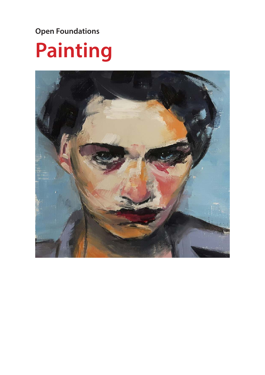# **Open Foundations**

# **Painting**

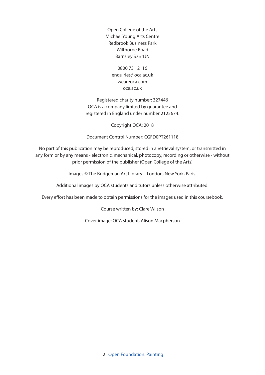Open College of the Arts Michael Young Arts Centre Redbrook Business Park Wilthorpe Road Barnsley S75 1JN

> 0800 731 2116 enquiries@oca.ac.uk weareoca.com oca.ac.uk

Registered charity number: 327446 OCA is a company limited by guarantee and registered in England under number 2125674.

Copyright OCA: 2018

Document Control Number: CGFD0PT261118

No part of this publication may be reproduced, stored in a retrieval system, or transmitted in any form or by any means - electronic, mechanical, photocopy, recording or otherwise - without prior permission of the publisher (Open College of the Arts)

Images © The Bridgeman Art Library – London, New York, Paris.

Additional images by OCA students and tutors unless otherwise attributed.

Every effort has been made to obtain permissions for the images used in this coursebook.

Course written by: Clare Wilson

Cover image: OCA student, Alison Macpherson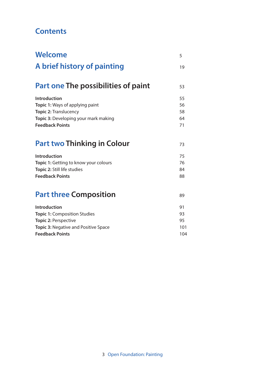# **Contents**

| Welcome                                                                                                                                              | 5                            |
|------------------------------------------------------------------------------------------------------------------------------------------------------|------------------------------|
| A brief history of painting                                                                                                                          | 19                           |
| Part one The possibilities of paint                                                                                                                  | 53                           |
| Introduction<br>Topic 1: Ways of applying paint<br><b>Topic 2: Translucency</b><br>Topic 3: Developing your mark making<br><b>Feedback Points</b>    | 55<br>56<br>58<br>64<br>71   |
| <b>Part two Thinking in Colour</b>                                                                                                                   | 73                           |
| <b>Introduction</b><br>Topic 1: Getting to know your colours<br>Topic 2: Still life studies<br><b>Feedback Points</b>                                | 75<br>76<br>84<br>88         |
| <b>Part three Composition</b>                                                                                                                        | 89                           |
| <b>Introduction</b><br>Topic 1: Composition Studies<br>Topic 2: Perspective<br><b>Topic 3: Negative and Positive Space</b><br><b>Feedback Points</b> | 91<br>93<br>95<br>101<br>104 |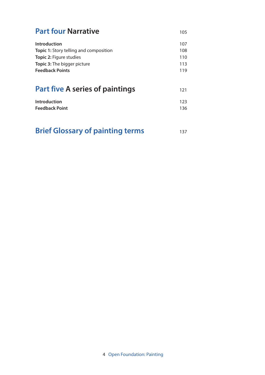| <b>Part four Narrative</b>                    | 105 |
|-----------------------------------------------|-----|
| Introduction                                  | 107 |
| <b>Topic 1:</b> Story telling and composition | 108 |
| <b>Topic 2: Figure studies</b>                | 110 |
| Topic 3: The bigger picture                   | 113 |
| <b>Feedback Points</b>                        | 119 |
| Part five A series of paintings               | 121 |
| Introduction                                  | 123 |
| <b>Feedback Point</b>                         | 136 |
| <b>Brief Glossary of painting terms</b>       | 137 |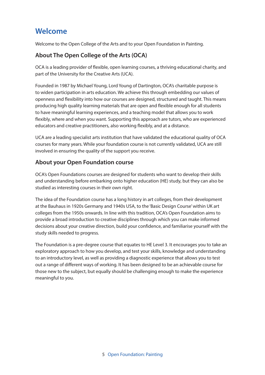# **Welcome**

Welcome to the Open College of the Arts and to your Open Foundation in Painting.

# **About The Open College of the Arts (OCA)**

OCA is a leading provider of flexible, open learning courses, a thriving educational charity, and part of the University for the Creative Arts (UCA).

Founded in 1987 by Michael Young, Lord Young of Dartington, OCA's charitable purpose is to widen participation in arts education. We achieve this through embedding our values of openness and flexibility into how our courses are designed, structured and taught. This means producing high quality learning materials that are open and flexible enough for all students to have meaningful learning experiences, and a teaching model that allows you to work flexibly, where and when you want. Supporting this approach are tutors, who are experienced educators and creative practitioners, also working flexibly, and at a distance.

UCA are a leading specialist arts institution that have validated the educational quality of OCA courses for many years. While your foundation course is not currently validated, UCA are still involved in ensuring the quality of the support you receive.

# **About your Open Foundation course**

OCA's Open Foundations courses are designed for students who want to develop their skills and understanding before embarking onto higher education (HE) study, but they can also be studied as interesting courses in their own right.

The idea of the Foundation course has a long history in art colleges, from their development at the Bauhaus in 1920s Germany and 1940s USA, to the 'Basic Design Course' within UK art colleges from the 1950s onwards. In line with this tradition, OCA's Open Foundation aims to provide a broad introduction to creative disciplines through which you can make informed decisions about your creative direction, build your confidence, and familiarise yourself with the study skills needed to progress.

The Foundation is a pre-degree course that equates to HE Level 3. It encourages you to take an exploratory approach to how you develop, and test your skills, knowledge and understanding to an introductory level, as well as providing a diagnostic experience that allows you to test out a range of different ways of working. It has been designed to be an achievable course for those new to the subject, but equally should be challenging enough to make the experience meaningful to you.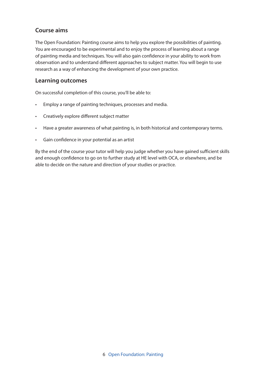# **Course aims**

The Open Foundation: Painting course aims to help you explore the possibilities of painting. You are encouraged to be experimental and to enjoy the process of learning about a range of painting media and techniques. You will also gain confidence in your ability to work from observation and to understand different approaches to subject matter. You will begin to use research as a way of enhancing the development of your own practice.

## **Learning outcomes**

On successful completion of this course, you'll be able to:

- Employ a range of painting techniques, processes and media.
- Creatively explore different subject matter
- Have a greater awareness of what painting is, in both historical and contemporary terms.
- Gain confidence in your potential as an artist

By the end of the course your tutor will help you judge whether you have gained sufficient skills and enough confidence to go on to further study at HE level with OCA, or elsewhere, and be able to decide on the nature and direction of your studies or practice.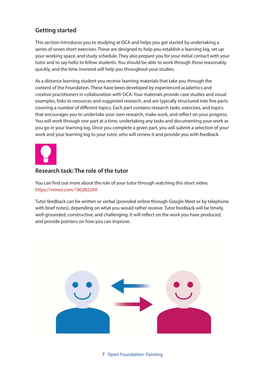# **Getting started**

This section introduces you to studying at OCA and helps you get started by undertaking a series of seven short exercises. These are designed to help you establish a learning log, set up your working space, and study schedule. They also prepare you for your initial contact with your tutor and to say hello to fellow students. You should be able to work through these reasonably quickly, and the time invested will help you throughout your studies.

As a distance learning student you receive learning materials that take you through the content of the Foundation. These have been developed by experienced academics and creative practitioners in collaboration with OCA. Your materials provide case studies and visual examples, links to resources and suggested research, and are typically structured into five parts covering a number of different topics. Each part contains research tasks, exercises, and topics that encourages you to undertake your own research, make work, and reflect on your progress. You will work through one part at a time, undertaking any tasks and documenting your work as you go in your learning log. Once you complete a given part, you will submit a selection of your work and your learning log to your tutor, who will review it and provide you with feedback.



# **Research task: The role of the tutor**

You can find out more about the role of your tutor through watching this short video: https://vimeo.com/180282269

Tutor feedback can be written or verbal (provided online through Google Meet or by telephone with brief notes), depending on what you would rather receive. Tutor feedback will be timely, well-grounded, constructive, and challenging. It will reflect on the work you have produced, and provide pointers on how you can improve.

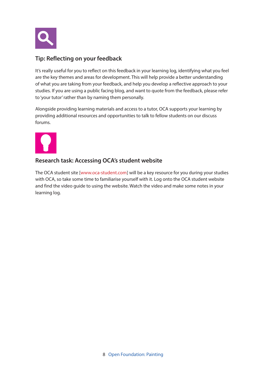

# **Tip: Reflecting on your feedback**

It's really useful for you to reflect on this feedback in your learning log, identifying what you feel are the key themes and areas for development. This will help provide a better understanding of what you are taking from your feedback, and help you develop a reflective approach to your studies. If you are using a public facing blog, and want to quote from the feedback, please refer to 'your tutor' rather than by naming them personally.

Alongside providing learning materials and access to a tutor, OCA supports your learning by providing additional resources and opportunities to talk to fellow students on our discuss forums.



# **Research task: Accessing OCA's student website**

The OCA student site [www.oca-student.com] will be a key resource for you during your studies with OCA, so take some time to familiarise yourself with it. Log onto the OCA student website and find the video guide to using the website. Watch the video and make some notes in your learning log.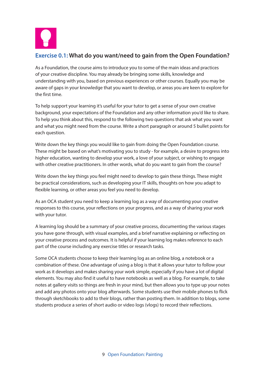

# **Exercise 0.1: What do you want/need to gain from the Open Foundation?**

As a Foundation, the course aims to introduce you to some of the main ideas and practices of your creative discipline. You may already be bringing some skills, knowledge and understanding with you, based on previous experiences or other courses. Equally you may be aware of gaps in your knowledge that you want to develop, or areas you are keen to explore for the first time.

To help support your learning it's useful for your tutor to get a sense of your own creative background, your expectations of the Foundation and any other information you'd like to share. To help you think about this, respond to the following two questions that ask what you want and what you might need from the course. Write a short paragraph or around 5 bullet points for each question.

Write down the key things you would like to gain from doing the Open Foundation course. These might be based on what's motivating you to study - for example, a desire to progress into higher education, wanting to develop your work, a love of your subject, or wishing to engage with other creative practitioners. In other words, what do you want to gain from the course?

Write down the key things you feel might need to develop to gain these things. These might be practical considerations, such as developing your IT skills, thoughts on how you adapt to flexible learning, or other areas you feel you need to develop.

As an OCA student you need to keep a learning log as a way of documenting your creative responses to this course, your reflections on your progress, and as a way of sharing your work with your tutor.

A learning log should be a summary of your creative process, documenting the various stages you have gone through, with visual examples, and a brief narrative explaining or reflecting on your creative process and outcomes. It is helpful if your learning log makes reference to each part of the course including any exercise titles or research tasks.

Some OCA students choose to keep their learning log as an online blog, a notebook or a combination of these. One advantage of using a blog is that it allows your tutor to follow your work as it develops and makes sharing your work simple, especially if you have a lot of digital elements. You may also find it useful to have notebooks as well as a blog. For example, to take notes at gallery visits so things are fresh in your mind, but then allows you to type up your notes and add any photos onto your blog afterwards. Some students use their mobile phones to flick through sketchbooks to add to their blogs, rather than posting them. In addition to blogs, some students produce a series of short audio or video logs (vlogs) to record their reflections.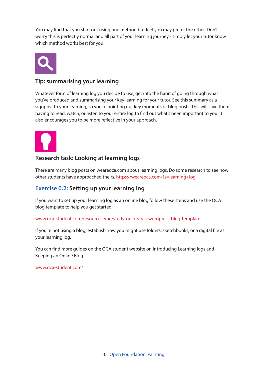You may find that you start out using one method but feel you may prefer the other. Don't worry this is perfectly normal and all part of your learning journey - simply let your tutor know which method works best for you.



# **Tip: summarising your learning**

Whatever form of learning log you decide to use, get into the habit of going through what you've produced and summarising your key learning for your tutor. See this summary as a signpost to your learning, so you're pointing out key moments or blog posts. This will save them having to read, watch, or listen to your entire log to find out what's been important to you. It also encourages you to be more reflective in your approach.



# **Research task: Looking at learning logs**

There are many blog posts on weareoca.com about learning logs. Do some research to see how other students have approached theirs. https://weareoca.com/?s=learning+log

# **Exercise 0.2: Setting up your learning log**

If you want to set up your learning log as an online blog follow these steps and use the OCA blog template to help you get started:

#### www.oca-student.com/resource-type/study-guide/oca-wordpress-blog-template

If you're not using a blog, establish how you might use folders, sketchbooks, or a digital file as your learning log.

You can find more guides on the OCA student website on Introducing Learning logs and Keeping an Online Blog.

www.oca-student.com/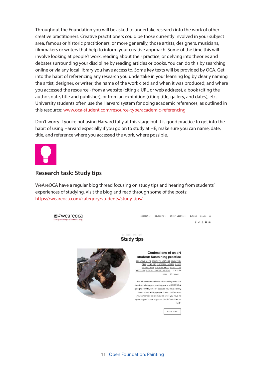Throughout the Foundation you will be asked to undertake research into the work of other creative practitioners. Creative practitioners could be those currently involved in your subject area, famous or historic practitioners, or more generally, those artists, designers, musicians, filmmakers or writers that help to inform your creative approach. Some of the time this will involve looking at people's work, reading about their practice, or delving into theories and debates surrounding your discipline by reading articles or books. You can do this by searching online or via any local library you have access to. Some key texts will be provided by OCA. Get into the habit of referencing any research you undertake in your learning log by clearly naming the artist, designer, or writer; the name of the work cited and when it was produced; and where you accessed the resource - from a website (citing a URL or web address), a book (citing the author, date, title and publisher), or from an exhibition (citing title, gallery, and dates), etc. University students often use the Harvard system for doing academic references, as outlined in this resource: www.oca-student.com/resource-type/academic-referencing

Don't worry if you're not using Harvard fully at this stage but it is good practice to get into the habit of using Harvard especially if you go on to study at HE; make sure you can name, date, title, and reference where you accessed the work, where possible.



### **Research task: Study tips**

WeAreOCA have a regular blog thread focusing on study tips and hearing from students' experiences of studying. Visit the blog and read through some of the posts: https://weareoca.com/category/students/study-tips/

**z**#weareoca

SUBJECT  $\vee$  STUDENTS  $\vee$  STUDY VISITS  $\vee$  TUTORS OCASA Q  $f \vee \theta$ 

**Study tips** 



#### Confessions of an art student: Sustaining practice

CREATIVE ARTS CREATIVE WRITING EDUCATION FILM FINE ART INTERIOR DESIGN MUSIC PHOTOGRAPHY STUDENT WORK STUDY TIPS TEXTILES VISUAL COMMUNICATIONS 2 AUGUST 2018 F SHARE

And when someone in the future asks you to talk about sustaining your practice, you are OBVIOUSLY going to say YES, not just because you have anxiety issues about letting people down... but because vou have made so much damn work you have no space in your house anymore: that is 'sustained as hell

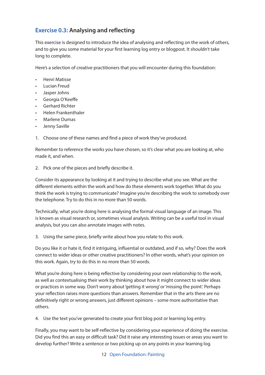# **Exercise 0.3: Analysing and reflecting**

This exercise is designed to introduce the idea of analysing and reflecting on the work of others, and to give you some material for your first learning log entry or blogpost. It shouldn't take long to complete.

Here's a selection of creative practitioners that you will encounter during this foundation:

- Henri Matisse
- Lucian Freud
- Jasper Johns
- Georgia O'Keeffe
- Gerhard Richter
- Helen Frankenthaler
- Marlene Dumas
- Jenny Saville
- 1. Choose one of these names and find a piece of work they've produced.

Remember to reference the works you have chosen, so it's clear what you are looking at, who made it, and when.

2. Pick one of the pieces and briefly describe it.

Consider its appearance by looking at it and trying to describe what you see. What are the different elements within the work and how do these elements work together. What do you think the work is trying to communicate? Imagine you're describing the work to somebody over the telephone. Try to do this in no more than 50 words.

Technically, what you're doing here is analysing the formal visual language of an image. This is known as visual research or, sometimes visual analysis. Writing can be a useful tool in visual analysis, but you can also annotate images with notes.

3. Using the same piece, briefly write about how you relate to this work.

Do you like it or hate it, find it intriguing, influential or outdated, and if so, why? Does the work connect to wider ideas or other creative practitioners? In other words, what's your opinion on this work. Again, try to do this in no more than 50 words.

What you're doing here is being reflective by considering your own relationship to the work, as well as contextualising their work by thinking about how it might connect to wider ideas or practices in some way. Don't worry about 'getting it wrong' or 'missing the point'. Perhaps your reflection raises more questions than answers. Remember that in the arts there are no definitively right or wrong answers, just different opinions – some more authoritative than others.

4. Use the text you've generated to create your first blog post or learning log entry.

Finally, you may want to be self-reflective by considering your experience of doing the exercise. Did you find this an easy or difficult task? Did it raise any interesting issues or areas you want to develop further? Write a sentence or two picking up on any points in your learning log.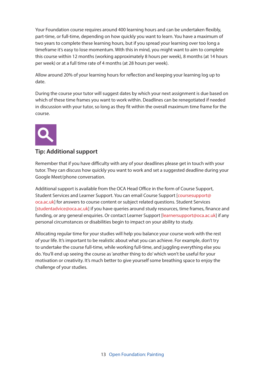Your Foundation course requires around 400 learning hours and can be undertaken flexibly, part-time, or full-time, depending on how quickly you want to learn. You have a maximum of two years to complete these learning hours, but if you spread your learning over too long a timeframe it's easy to lose momentum. With this in mind, you might want to aim to complete this course within 12 months (working approximately 8 hours per week), 8 months (at 14 hours per week) or at a full time rate of 4 months (at 28 hours per week).

Allow around 20% of your learning hours for reflection and keeping your learning log up to date.

During the course your tutor will suggest dates by which your next assignment is due based on which of these time frames you want to work within. Deadlines can be renegotiated if needed in discussion with your tutor, so long as they fit within the overall maximum time frame for the course.



# **Tip: Additional support**

Remember that if you have difficulty with any of your deadlines please get in touch with your tutor. They can discuss how quickly you want to work and set a suggested deadline during your Google Meet/phone conversation.

Additional support is available from the OCA Head Office in the form of Course Support, Student Services and Learner Support. You can email Course Support [coursesupport@ oca.ac.uk] for answers to course content or subject related questions. Student Services [studentadvice@oca.ac.uk] if you have queries around study resources, time frames, finance and funding, or any general enquiries. Or contact Learner Support [learnersupport@oca.ac.uk] if any personal circumstances or disabilities begin to impact on your ability to study.

Allocating regular time for your studies will help you balance your course work with the rest of your life. It's important to be realistic about what you can achieve. For example, don't try to undertake the course full-time, while working full-time, and juggling everything else you do. You'll end up seeing the course as 'another thing to do' which won't be useful for your motivation or creativity. It's much better to give yourself some breathing space to enjoy the challenge of your studies.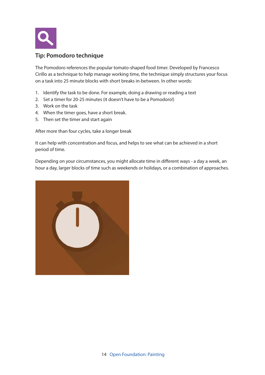

# **Tip: Pomodoro technique**

The Pomodoro references the popular tomato-shaped food timer. Developed by Francesco Cirillo as a technique to help manage working time, the technique simply structures your focus on a task into 25 minute blocks with short breaks in-between. In other words:

- 1. Identify the task to be done. For example, doing a drawing or reading a text
- 2. Set a timer for 20-25 minutes (it doesn't have to be a Pomodoro!)
- 3. Work on the task
- 4. When the timer goes, have a short break.
- 5. Then set the timer and start again

After more than four cycles, take a longer break

It can help with concentration and focus, and helps to see what can be achieved in a short period of time.

Depending on your circumstances, you might allocate time in different ways - a day a week, an hour a day, larger blocks of time such as weekends or holidays, or a combination of approaches.

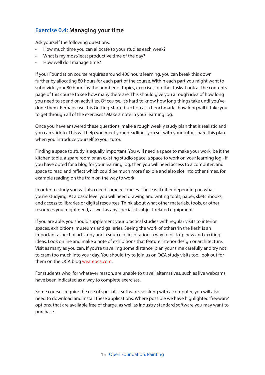# **Exercise 0.4: Managing your time**

Ask yourself the following questions.

- How much time you can allocate to your studies each week?
- What is my most/least productive time of the day?
- How well do I manage time?

If your Foundation course requires around 400 hours learning, you can break this down further by allocating 80 hours for each part of the course. Within each part you might want to subdivide your 80 hours by the number of topics, exercises or other tasks. Look at the contents page of this course to see how many there are. This should give you a rough idea of how long you need to spend on activities. Of course, it's hard to know how long things take until you've done them. Perhaps use this Getting Started section as a benchmark - how long will it take you to get through all of the exercises? Make a note in your learning log.

Once you have answered these questions, make a rough weekly study plan that is realistic and you can stick to. This will help you meet your deadlines you set with your tutor, share this plan when you introduce yourself to your tutor.

Finding a space to study is equally important. You will need a space to make your work, be it the kitchen table, a spare room or an existing studio space; a space to work on your learning log - if you have opted for a blog for your learning log, then you will need access to a computer; and space to read and reflect which could be much more flexible and also slot into other times, for example reading on the train on the way to work.

In order to study you will also need some resources. These will differ depending on what you're studying. At a basic level you will need drawing and writing tools, paper, sketchbooks, and access to libraries or digital resources. Think about what other materials, tools, or other resources you might need, as well as any specialist subject-related equipment.

If you are able, you should supplement your practical studies with regular visits to interior spaces, exhibitions, museums and galleries. Seeing the work of others 'in the flesh' is an important aspect of art study and a source of inspiration, a way to pick up new and exciting ideas. Look online and make a note of exhibitions that feature interior design or architecture. Visit as many as you can. If you're travelling some distance, plan your time carefully and try not to cram too much into your day. You should try to join us on OCA study visits too; look out for them on the OCA blog weareoca.com.

For students who, for whatever reason, are unable to travel, alternatives, such as live webcams, have been indicated as a way to complete exercises.

Some courses require the use of specialist software, so along with a computer, you will also need to download and install these applications. Where possible we have highlighted 'freeware' options, that are available free of charge, as well as industry standard software you may want to purchase.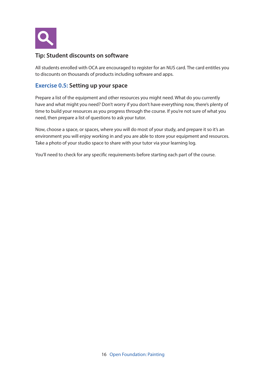

# **Tip: Student discounts on software**

All students enrolled with OCA are encouraged to register for an NUS card. The card entitles you to discounts on thousands of products including software and apps.

## **Exercise 0.5: Setting up your space**

Prepare a list of the equipment and other resources you might need. What do you currently have and what might you need? Don't worry if you don't have everything now, there's plenty of time to build your resources as you progress through the course. If you're not sure of what you need, then prepare a list of questions to ask your tutor.

Now, choose a space, or spaces, where you will do most of your study, and prepare it so it's an environment you will enjoy working in and you are able to store your equipment and resources. Take a photo of your studio space to share with your tutor via your learning log.

You'll need to check for any specific requirements before starting each part of the course.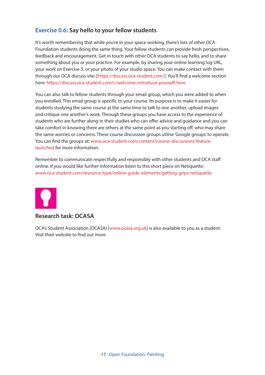# **Exercise 0.6: Say hello to your fellow students**

It's worth remembering that while you're in your space working, there's lots of other OCA Foundation students doing the same thing. Your fellow students can provide fresh perspectives, feedback and encouragement. Get in touch with other OCA students to say hello, and to share something about you or your practice. For example, by sharing your online learning log URL, your work on Exercise 3, or your photo of your studio space. You can make contact with them through our OCA discuss site: [https://discuss.oca-student.com/]. You'll find a welcome section here: https://discuss.oca-student.com/c/welcome-introduce-yourself-here

You can also talk to fellow students through your email group, which you were added to when you enrolled. This email group is specific to your course. Its purpose is to make it easier for students studying the same course at the same time to talk to one another, upload images and critique one another's work. Through these groups you have access to the experience of students who are further along in their studies who can offer advice and guidance and you can take comfort in knowing there are others at the same point as you starting off, who may share the same worries or concerns. These course discussion groups utilise 'Google groups' to operate. You can find the groups at: www.oca-student.com/content/course-discussions-featurelaunched for more information.

Remember to communicate respectfully and responsibly with other students and OCA staff online. If you would like further information listen to this short piece on Netiquette: www.oca-student.com/resource-type/online-guide-elements/getting-grips-netiquette



### **Research task: OCASA**

OCA's Student Association (OCASA) [www.ocasa.org.uk] is also available to you as a student. Visit their website to find out more.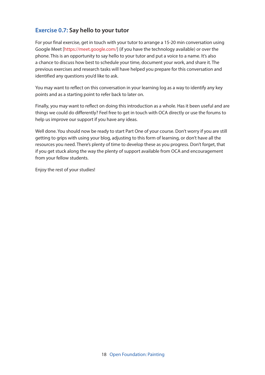# **Exercise 0.7: Say hello to your tutor**

For your final exercise, get in touch with your tutor to arrange a 15-20 min conversation using Google Meet [https://meet.google.com/] (if you have the technology available) or over the phone. This is an opportunity to say hello to your tutor and put a voice to a name. It's also a chance to discuss how best to schedule your time, document your work, and share it. The previous exercises and research tasks will have helped you prepare for this conversation and identified any questions you'd like to ask.

You may want to reflect on this conversation in your learning log as a way to identify any key points and as a starting point to refer back to later on.

Finally, you may want to reflect on doing this introduction as a whole. Has it been useful and are things we could do differently? Feel free to get in touch with OCA directly or use the forums to help us improve our support if you have any ideas.

Well done. You should now be ready to start Part One of your course. Don't worry if you are still getting to grips with using your blog, adjusting to this form of learning, or don't have all the resources you need. There's plenty of time to develop these as you progress. Don't forget, that if you get stuck along the way the plenty of support available from OCA and encouragement from your fellow students.

Enjoy the rest of your studies!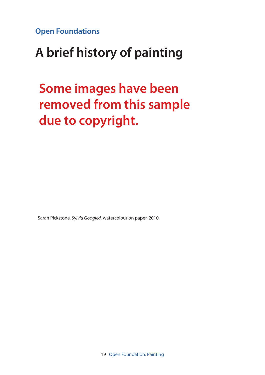**Open Foundations**

# **A brief history of painting**

# **Some images have been removed from this sample due to copyright.**

Sarah Pickstone, Sylvia Googled, watercolour on paper, 2010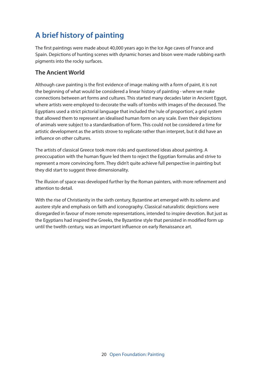# **A brief history of painting**

The first paintings were made about 40,000 years ago in the Ice Age caves of France and Spain. Depictions of hunting scenes with dynamic horses and bison were made rubbing earth pigments into the rocky surfaces.

# **The Ancient World**

Although cave painting is the first evidence of image making with a form of paint, it is not the beginning of what would be considered a linear history of painting - where we make connections between art forms and cultures. This started many decades later in Ancient Egypt, where artists were employed to decorate the walls of tombs with images of the deceased. The Egyptians used a strict pictorial language that included the 'rule of proportion', a grid system that allowed them to represent an idealised human form on any scale. Even their depictions of animals were subject to a standardisation of form. This could not be considered a time for artistic development as the artists strove to replicate rather than interpret, but it did have an influence on other cultures.

The artists of classical Greece took more risks and questioned ideas about painting. A preoccupation with the human figure led them to reject the Egyptian formulas and strive to represent a more convincing form. They didn't quite achieve full perspective in painting but they did start to suggest three dimensionality.

The illusion of space was developed further by the Roman painters, with more refinement and attention to detail.

With the rise of Christianity in the sixth century, Byzantine art emerged with its solemn and austere style and emphasis on faith and iconography. Classical naturalistic depictions were disregarded in favour of more remote representations, intended to inspire devotion. But just as the Egyptians had inspired the Greeks, the Byzantine style that persisted in modified form up until the twelth century, was an important influence on early Renaissance art.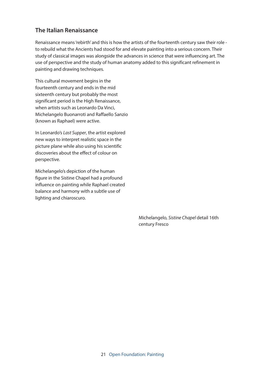# **The Italian Renaissance**

Renaissance means 'rebirth' and this is how the artists of the fourteenth century saw their role to rebuild what the Ancients had stood for and elevate painting into a serious concern. Their study of classical images was alongside the advances in science that were influencing art. The use of perspective and the study of human anatomy added to this significant refinement in painting and drawing techniques.

This cultural movement begins in the fourteenth century and ends in the mid sixteenth century but probably the most significant period is the High Renaissance, when artists such as Leonardo Da Vinci, Michelangelo Buonarroti and Raffaello Sanzio (known as Raphael) were active.

In Leonardo's Last Supper, the artist explored new ways to interpret realistic space in the picture plane while also using his scientific discoveries about the effect of colour on perspective.

Michelangelo's depiction of the human figure in the Sistine Chapel had a profound influence on painting while Raphael created balance and harmony with a subtle use of lighting and chiaroscuro.

> Michelangelo, Sistine Chapel detail 16th century Fresco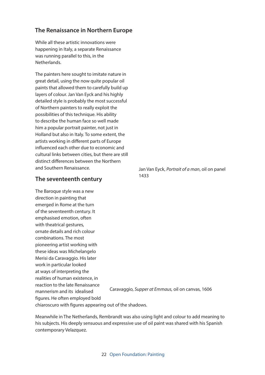# **The Renaissance in Northern Europe**

While all these artistic innovations were happening in Italy, a separate Renaissance was running parallel to this, in the **Netherlands** 

The painters here sought to imitate nature in great detail, using the now quite popular oil paints that allowed them to carefully build up layers of colour. Jan Van Eyck and his highly detailed style is probably the most successful of Northern painters to really exploit the possibilities of this technique. His ability to describe the human face so well made him a popular portrait painter, not just in Holland but also in Italy. To some extent, the artists working in different parts of Europe influenced each other due to economic and cultural links between cities, but there are still distinct differences between the Northern and Southern Renaissance.

## **The seventeenth century**

The Baroque style was a new direction in painting that emerged in Rome at the turn of the seventeenth century. It emphasised emotion, often with theatrical gestures, ornate details and rich colour combinations. The most pioneering artist working with these ideas was Michelangelo Merisi da Caravaggio. His later work in particular looked at ways of interpreting the realities of human existence, in reaction to the late Renaissance mannerism and its idealised figures. He often employed bold Jan Van Eyck, Portrait of a man, oil on panel 1433

Caravaggio, Supper at Emmaus, oil on canvas, 1606

chiaroscuro with figures appearing out of the shadows.

Meanwhile in The Netherlands, Rembrandt was also using light and colour to add meaning to his subjects. His deeply sensuous and expressive use of oil paint was shared with his Spanish contemporary Velazquez.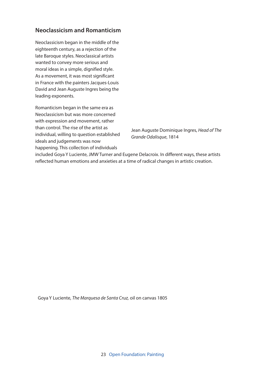# **Neoclassicism and Romanticism**

Neoclassicism began in the middle of the eighteenth century, as a rejection of the late Baroque styles. Neoclassical artists wanted to convey more serious and moral ideas in a simple, dignified style. As a movement, it was most significant in France with the painters Jacques-Louis David and Jean Auguste Ingres being the leading exponents.

Romanticism began in the same era as Neoclassicism but was more concerned with expression and movement, rather than control. The rise of the artist as individual, willing to question established ideals and judgements was now happening. This collection of individuals

Jean Auguste Dominique Ingres, Head of The Grande Odalisque, 1814

included Goya Y Luciente, JMW Turner and Eugene Delacroix. In different ways, these artists reflected human emotions and anxieties at a time of radical changes in artistic creation.

Goya Y Luciente, The Marquesa de Santa Cruz, oil on canvas 1805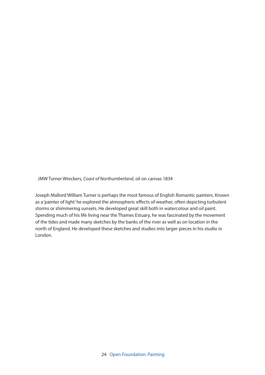JMW Turner Wreckers, Coast of Northumberland, oil on canvas 1834

Joseph Mallord William Turner is perhaps the most famous of English Romantic painters. Known as a 'painter of light' he explored the atmospheric effects of weather, often depicting turbulent storms or shimmering sunsets. He developed great skill both in watercolour and oil paint. Spending much of his life living near the Thames Estuary, he was fascinated by the movement of the tides and made many sketches by the banks of the river as well as on location in the north of England. He developed these sketches and studies into larger pieces in his studio in London.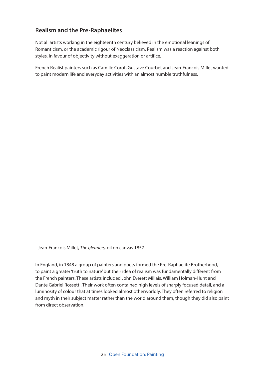# **Realism and the Pre-Raphaelites**

Not all artists working in the eighteenth century believed in the emotional leanings of Romanticism, or the academic rigour of Neoclassicism. Realism was a reaction against both styles, in favour of objectivity without exaggeration or artifice.

French Realist painters such as Camille Corot, Gustave Courbet and Jean-Francois Millet wanted to paint modern life and everyday activities with an almost humble truthfulness.

Jean-Francois Millet, The gleaners, oil on canvas 1857

In England, in 1848 a group of painters and poets formed the Pre-Raphaelite Brotherhood, to paint a greater 'truth to nature' but their idea of realism was fundamentally different from the French painters. These artists included John Everett Millais, William Holman-Hunt and Dante Gabriel Rossetti. Their work often contained high levels of sharply focused detail, and a luminosity of colour that at times looked almost otherworldly. They often referred to religion and myth in their subject matter rather than the world around them, though they did also paint from direct observation.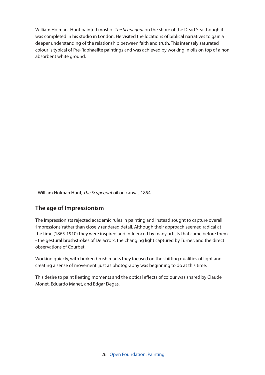William Holman- Hunt painted most of The Scapegoat on the shore of the Dead Sea though it was completed in his studio in London. He visited the locations of biblical narratives to gain a deeper understanding of the relationship between faith and truth. This intensely saturated colour is typical of Pre-Raphaelite paintings and was achieved by working in oils on top of a non absorbent white ground.

William Holman Hunt, The Scapegoat oil on canvas 1854

### **The age of Impressionism**

The Impressionists rejected academic rules in painting and instead sought to capture overall 'impressions' rather than closely rendered detail. Although their approach seemed radical at the time (1865-1910) they were inspired and influenced by many artists that came before them - the gestural brushstrokes of Delacroix, the changing light captured by Turner, and the direct observations of Courbet.

Working quickly, with broken brush marks they focused on the shifting qualities of light and creating a sense of movement ,just as photography was beginning to do at this time.

This desire to paint fleeting moments and the optical effects of colour was shared by Claude Monet, Eduardo Manet, and Edgar Degas.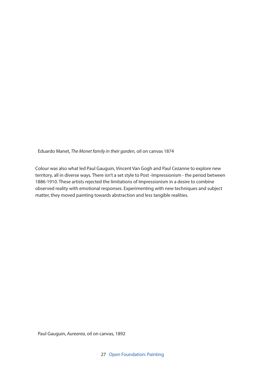Eduardo Manet, The Monet family in their garden, oil on canvas 1874

Colour was also what led Paul Gauguin, Vincent Van Gogh and Paul Cezanne to explore new territory, all in diverse ways. There isn't a set style to Post -Impressionism - the period between 1886-1910. These artists rejected the limitations of Impressionism in a desire to combine observed reality with emotional responses. Experimenting with new techniques and subject matter, they moved painting towards abstraction and less tangible realities.

Paul Gauguin, Aurearea, oil on canvas, 1892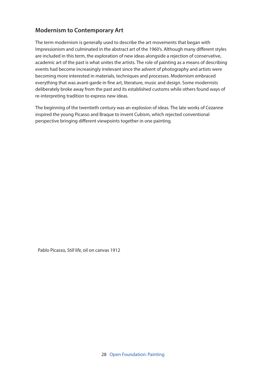# **Modernism to Contemporary Art**

The term modernism is generally used to describe the art movements that began with Impressionism and culminated in the abstract art of the 1960's. Although many different styles are included in this term, the exploration of new ideas alongside a rejection of conservative, academic art of the past is what unites the artists. The role of painting as a means of describing events had become increasingly irrelevant since the advent of photography and artists were becoming more interested in materials, techniques and processes. Modernism embraced everything that was avant-garde in fine art, literature, music and design. Some modernists deliberately broke away from the past and its established customs while others found ways of re-interpreting tradition to express new ideas.

The beginning of the twentieth century was an explosion of ideas. The late works of Cezanne inspired the young Picasso and Braque to invent Cubism, which rejected conventional perspective bringing different viewpoints together in one painting.

Pablo Picasso, Still life, oil on canvas 1912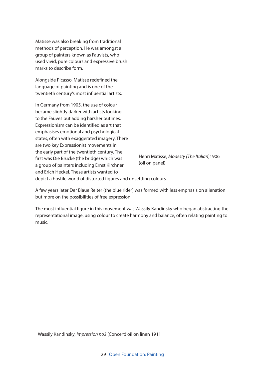Matisse was also breaking from traditional methods of perception. He was amongst a group of painters known as Fauvists, who used vivid, pure colours and expressive brush marks to describe form.

Alongside Picasso, Matisse redefined the language of painting and is one of the twentieth century's most influential artists.

In Germany from 1905, the use of colour became slightly darker with artists looking to the Fauves but adding harsher outlines. Expressionism can be identified as art that emphasises emotional and psychological states, often with exaggerated imagery. There are two key Expressionist movements in the early part of the twentieth century. The first was Die Brücke (the bridge) which was a group of painters including Ernst Kirchner and Erich Heckel. These artists wanted to

Henri Matisse, Modesty (The Italian)1906 (oil on panel)

depict a hostile world of distorted figures and unsettling colours.

A few years later Der Blaue Reiter (the blue rider) was formed with less emphasis on alienation but more on the possibilities of free expression.

The most influential figure in this movement was Wassily Kandinsky who began abstracting the representational image, using colour to create harmony and balance, often relating painting to music.

Wassily Kandinsky, Impression no3 (Concert) oil on linen 1911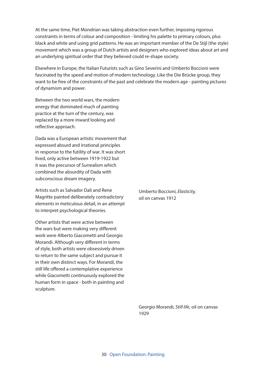At the same time, Piet Mondrian was taking abstraction even further, imposing rigorous constraints in terms of colour and composition - limiting his palette to primary colours, plus black and white and using grid patterns. He was an important member of the De Stijl (the style) movement which was a group of Dutch artists and designers who explored ideas about art and an underlying spiritual order that they believed could re-shape society.

Elsewhere in Europe, the Italian Futurists such as Gino Severini and Umberto Boccioni were fascinated by the speed and motion of modern technology. Like the Die Brücke group, they want to be free of the constraints of the past and celebrate the modern age - painting pictures of dynamism and power.

Between the two world wars, the modern energy that dominated much of painting practice at the turn of the century, was replaced by a more inward looking and reflective approach.

Dada was a European artistic movement that expressed absurd and irrational principles in response to the futility of war. It was short lived, only active between 1919-1922 but it was the precursor of Surrealism which combined the absurdity of Dada with subconscious dream imagery.

Artists such as Salvador Dali and Rene Magritte painted deliberately contradictory elements in meticulous detail, in an attempt to interpret psychological theories.

Other artists that were active between the wars but were making very different work were Alberto Giacometti and Georgio Morandi. Although very different in terms of style, both artists were obsessively driven to return to the same subject and pursue it in their own distinct ways. For Morandi, the still life offered a contemplative experience while Giacometti continuously explored the human form in space - both in painting and sculpture.

Umberto Boccioni, Elasticity, oil on canvas 1912

Georgio Morandi, Still life, oil on canvas 1929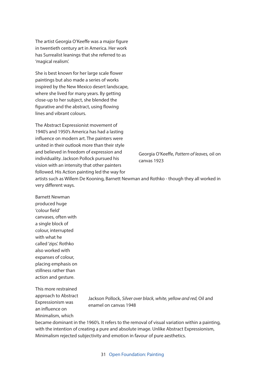The artist Georgia O'Keeffe was a major figure in twentieth century art in America. Her work has Surrealist leanings that she referred to as 'magical realism'.

She is best known for her large scale flower paintings but also made a series of works inspired by the New Mexico desert landscape, where she lived for many years. By getting close-up to her subject, she blended the figurative and the abstract, using flowing lines and vibrant colours.

The Abstract Expressionist movement of 1940's and 1950's America has had a lasting influence on modern art. The painters were united in their outlook more than their style and believed in freedom of expression and individuality. Jackson Pollock pursued his vision with an intensity that other painters followed. His Action painting led the way for

Georgia O'Keeffe, Pattern of leaves, oil on canvas 1923

artists such as Willem De Kooning, Barnett Newman and Rothko - though they all worked in very different ways.

Barnett Newman produced huge 'colour field' canvases, often with a single block of colour, interrupted with what he called 'zips'. Rothko also worked with expanses of colour, placing emphasis on stillness rather than action and gesture.

This more restrained approach to Abstract Expressionism was an influence on Minimalism, which

Jackson Pollock, Silver over black, white, yellow and red, Oil and enamel on canvas 1948

became dominant in the 1960's. It refers to the removal of visual variation within a painting, with the intention of creating a pure and absolute image. Unlike Abstract Expressionism, Minimalism rejected subjectivity and emotion in favour of pure aesthetics.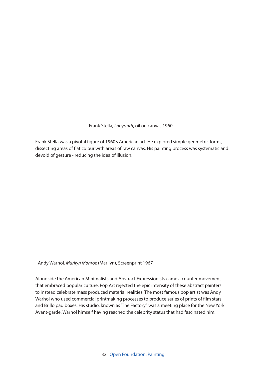Frank Stella, Labyrinth, oil on canvas 1960

Frank Stella was a pivotal figure of 1960's American art. He explored simple geometric forms, dissecting areas of flat colour with areas of raw canvas. His painting process was systematic and devoid of gesture - reducing the idea of illusion.

Andy Warhol, Marilyn Monroe (Marilyn), Screenprint 1967

Alongside the American Minimalists and Abstract Expressionists came a counter movement that embraced popular culture. Pop Art rejected the epic intensity of these abstract painters to instead celebrate mass produced material realities. The most famous pop artist was Andy Warhol who used commercial printmaking processes to produce series of prints of film stars and Brillo pad boxes. His studio, known as 'The Factory' was a meeting place for the New York Avant-garde. Warhol himself having reached the celebrity status that had fascinated him.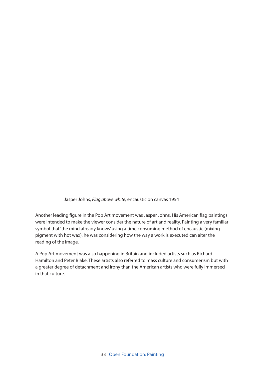Jasper Johns, Flag above white, encaustic on canvas 1954

Another leading figure in the Pop Art movement was Jasper Johns. His American flag paintings were intended to make the viewer consider the nature of art and reality. Painting a very familiar symbol that 'the mind already knows' using a time consuming method of encaustic (mixing pigment with hot wax), he was considering how the way a work is executed can alter the reading of the image.

A Pop Art movement was also happening in Britain and included artists such as Richard Hamilton and Peter Blake. These artists also referred to mass culture and consumerism but with a greater degree of detachment and irony than the American artists who were fully immersed in that culture.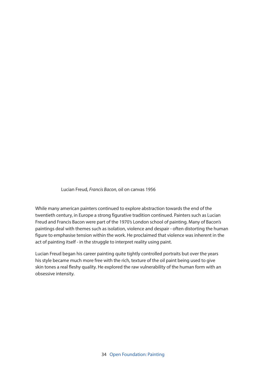Lucian Freud, Francis Bacon, oil on canvas 1956

While many american painters continued to explore abstraction towards the end of the twentieth century, in Europe a strong figurative tradition continued. Painters such as Lucian Freud and Francis Bacon were part of the 1970's London school of painting. Many of Bacon's paintings deal with themes such as isolation, violence and despair - often distorting the human figure to emphasise tension within the work. He proclaimed that violence was inherent in the act of painting itself - in the struggle to interpret reality using paint.

Lucian Freud began his career painting quite tightly controlled portraits but over the years his style became much more free with the rich, texture of the oil paint being used to give skin tones a real fleshy quality. He explored the raw vulnerability of the human form with an obsessive intensity.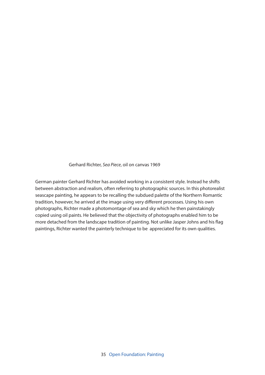Gerhard Richter, Sea Piece, oil on canvas 1969

German painter Gerhard Richter has avoided working in a consistent style. Instead he shifts between abstraction and realism, often referring to photographic sources. In this photorealist seascape painting, he appears to be recalling the subdued palette of the Northern Romantic tradition, however, he arrived at the image using very different processes. Using his own photographs, Richter made a photomontage of sea and sky which he then painstakingly copied using oil paints. He believed that the objectivity of photographs enabled him to be more detached from the landscape tradition of painting. Not unlike Jasper Johns and his flag paintings, Richter wanted the painterly technique to be appreciated for its own qualities.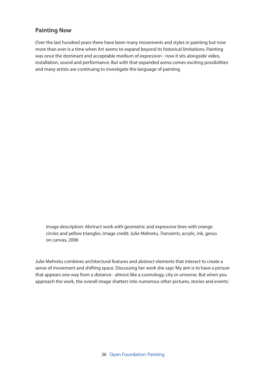# **Painting Now**

Over the last hundred years there have been many movements and styles in painting but now more than ever is a time when Art seems to expand beyond its historical limitations. Painting was once the dominant and acceptable medium of expression - now it sits alongside video, installation, sound and performance. But with that expanded arena comes exciting possibilities and many artists are continuing to investigate the language of painting.

Image description: Abrtract work with geometric and expressive lines with orange circles and yellow triangles. Image credit: Julie Mehretu, Transients, acrylic, ink, gesso on canvas, 2006

Julie Mehretu combines architectural features and abstract elements that interact to create a sense of movement and shifting space. Discussing her work she says 'My aim is to have a picture that appears one way from a distance - almost like a cosmology, city or universe. But when you approach the work, the overall image shatters into numerous other pictures, stories and events.'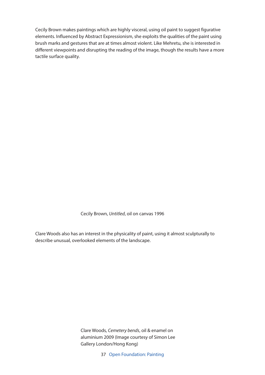Cecily Brown makes paintings which are highly visceral, using oil paint to suggest figurative elements. Influenced by Abstract Expressionism, she exploits the qualities of the paint using brush marks and gestures that are at times almost violent. Like Mehretu, she is interested in different viewpoints and disrupting the reading of the image, though the results have a more tactile surface quality.

Cecily Brown, Untitled, oil on canvas 1996

Clare Woods also has an interest in the physicality of paint, using it almost sculpturally to describe unusual, overlooked elements of the landscape.

> Clare Woods, Cemetery bends, oil & enamel on aluminium 2009 (Image courtesy of Simon Lee Gallery London/Hong Kong)

> > 37 Open Foundation: Painting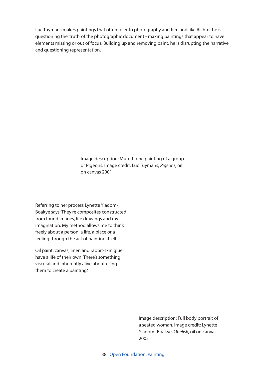Luc Tuymans makes paintings that often refer to photography and film and like Richter he is questioning the 'truth' of the photographic document - making paintings that appear to have elements missing or out of focus. Building up and removing paint, he is disrupting the narrative and questioning representation.

> Image description: Muted tone painting of a group or Pigeons. Image credit: Luc Tuymans, Pigeons, oil on canvas 2001

Referring to her process Lynette Yiadom-Boakye says 'They're composites constructed from found images, life drawings and my imagination. My method allows me to think freely about a person, a life, a place or a feeling through the act of painting itself.

Oil paint, canvas, linen and rabbit-skin glue have a life of their own. There's something visceral and inherently alive about using them to create a painting.'

> Image description: Full body portrait of a seated woman. Image credit: Lynette Yiadom- Boakye, Obelisk, oil on canvas 2005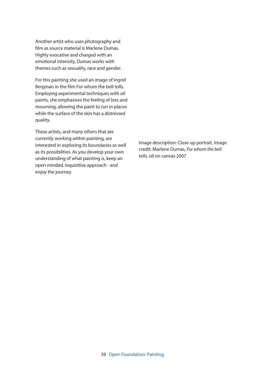Another artist who uses photography and film as source material is Marlene Dumas. Highly evocative and charged with an emotional intensity, Dumas works with themes such as sexuality, race and gender.

For this painting she used an image of Ingrid Bergman in the film For whom the bell tolls. Employing experimental techniques with oil paints, she emphasises the feeling of loss and mourning, allowing the paint to run in places while the surface of the skin has a distressed quality.

These artists, and many others that are currently working within painting, are interested in exploring its boundaries as well as its possibilities. As you develop your own understanding of what painting is, keep an open minded, inquisitive approach - and enjoy the journey.

Image description: Close up portrait. Image credit: Marlene Dumas, For whom the bell tolls, oil on canvas 2007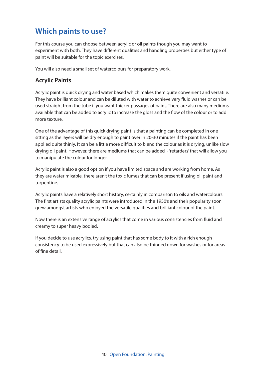# **Which paints to use?**

For this course you can choose between acrylic or oil paints though you may want to experiment with both. They have different qualities and handling properties but either type of paint will be suitable for the topic exercises.

You will also need a small set of watercolours for preparatory work.

# **Acrylic Paints**

Acrylic paint is quick drying and water based which makes them quite convenient and versatile. They have brilliant colour and can be diluted with water to achieve very fluid washes or can be used straight from the tube if you want thicker passages of paint. There are also many mediums available that can be added to acrylic to increase the gloss and the flow of the colour or to add more texture.

One of the advantage of this quick drying paint is that a painting can be completed in one sitting as the layers will be dry enough to paint over in 20-30 minutes if the paint has been applied quite thinly. It can be a little more difficult to blend the colour as it is drying, unlike slow drying oil paint. However, there are mediums that can be added - 'retarders' that will allow you to manipulate the colour for longer.

Acrylic paint is also a good option if you have limited space and are working from home. As they are water mixable, there aren't the toxic fumes that can be present if using oil paint and turpentine.

Acrylic paints have a relatively short history, certainly in comparison to oils and watercolours. The first artists quality acrylic paints were introduced in the 1950's and their popularity soon grew amongst artists who enjoyed the versatile qualities and brilliant colour of the paint.

Now there is an extensive range of acrylics that come in various consistencies from fluid and creamy to super heavy bodied.

If you decide to use acrylics, try using paint that has some body to it with a rich enough consistency to be used expressively but that can also be thinned down for washes or for areas of fine detail.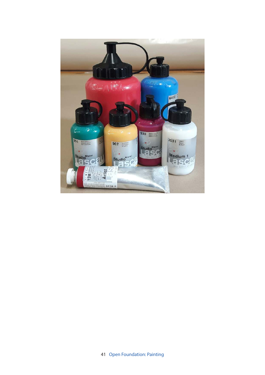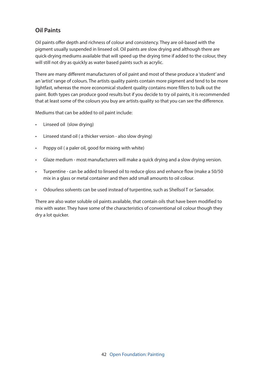# **Oil Paints**

Oil paints offer depth and richness of colour and consistency. They are oil-based with the pigment usually suspended in linseed oil. Oil paints are slow drying and although there are quick-drying mediums available that will speed up the drying time if added to the colour, they will still not dry as quickly as water based paints such as acrylic.

There are many different manufacturers of oil paint and most of these produce a 'student' and an 'artist' range of colours. The artists quality paints contain more pigment and tend to be more lightfast, whereas the more economical student quality contains more fillers to bulk out the paint. Both types can produce good results but if you decide to try oil paints, it is recommended that at least some of the colours you buy are artists quality so that you can see the difference.

Mediums that can be added to oil paint include:

- Linseed oil (slow drying)
- Linseed stand oil ( a thicker version also slow drying)
- Poppy oil ( a paler oil, good for mixing with white)
- Glaze medium most manufacturers will make a quick drying and a slow drying version.
- Turpentine can be added to linseed oil to reduce gloss and enhance flow (make a 50/50 mix in a glass or metal container and then add small amounts to oil colour.
- Odourless solvents can be used instead of turpentine, such as Shellsol T or Sansador.

There are also water soluble oil paints available, that contain oils that have been modified to mix with water. They have some of the characteristics of conventional oil colour though they dry a lot quicker.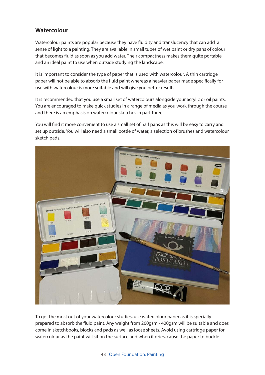# **Watercolour**

Watercolour paints are popular because they have fluidity and translucency that can add a sense of light to a painting. They are available in small tubes of wet paint or dry pans of colour that becomes fluid as soon as you add water. Their compactness makes them quite portable, and an ideal paint to use when outside studying the landscape.

It is important to consider the type of paper that is used with watercolour. A thin cartridge paper will not be able to absorb the fluid paint whereas a heavier paper made specifically for use with watercolour is more suitable and will give you better results.

It is recommended that you use a small set of watercolours alongside your acrylic or oil paints. You are encouraged to make quick studies in a range of media as you work through the course and there is an emphasis on watercolour sketches in part three.

You will find it more convenient to use a small set of half pans as this will be easy to carry and set up outside. You will also need a small bottle of water, a selection of brushes and watercolour sketch pads.



To get the most out of your watercolour studies, use watercolour paper as it is specially prepared to absorb the fluid paint. Any weight from 200gsm - 400gsm will be suitable and does come in sketchbooks, blocks and pads as well as loose sheets. Avoid using cartridge paper for watercolour as the paint will sit on the surface and when it dries, cause the paper to buckle.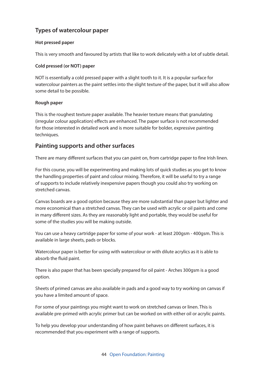# **Types of watercolour paper**

#### **Hot pressed paper**

This is very smooth and favoured by artists that like to work delicately with a lot of subtle detail.

#### **Cold pressed (or NOT) paper**

NOT is essentially a cold pressed paper with a slight tooth to it. It is a popular surface for watercolour painters as the paint settles into the slight texture of the paper, but it will also allow some detail to be possible.

#### **Rough paper**

This is the roughest texture paper available. The heavier texture means that granulating (irregular colour application) effects are enhanced. The paper surface is not recommended for those interested in detailed work and is more suitable for bolder, expressive painting techniques.

# **Painting supports and other surfaces**

There are many different surfaces that you can paint on, from cartridge paper to fine Irish linen.

For this course, you will be experimenting and making lots of quick studies as you get to know the handling properties of paint and colour mixing. Therefore, it will be useful to try a range of supports to include relatively inexpensive papers though you could also try working on stretched canvas.

Canvas boards are a good option because they are more substantial than paper but lighter and more economical than a stretched canvas. They can be used with acrylic or oil paints and come in many different sizes. As they are reasonably light and portable, they would be useful for some of the studies you will be making outside.

You can use a heavy cartridge paper for some of your work - at least 200gsm - 400gsm. This is available in large sheets, pads or blocks.

Watercolour paper is better for using with watercolour or with dilute acrylics as it is able to absorb the fluid paint.

There is also paper that has been specially prepared for oil paint - Arches 300gsm is a good option.

Sheets of primed canvas are also available in pads and a good way to try working on canvas if you have a limited amount of space.

For some of your paintings you might want to work on stretched canvas or linen. This is available pre-primed with acrylic primer but can be worked on with either oil or acrylic paints.

To help you develop your understanding of how paint behaves on different surfaces, it is recommended that you experiment with a range of supports.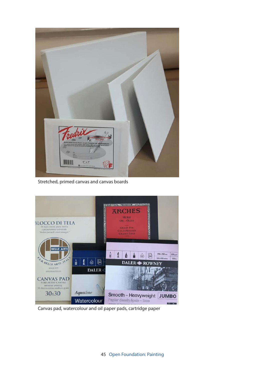

Stretched, primed canvas and canvas boards



Canvas pad, watercolour and oil paper pads, cartridge paper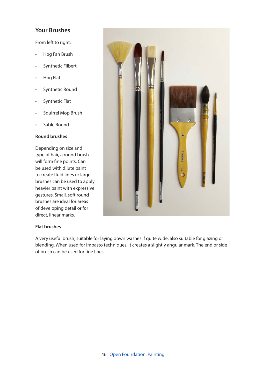## **Your Brushes**

From left to right:

- Hog Fan Brush
- Synthetic Filbert
- Hog Flat
- Synthetic Round
- Synthetic Flat
- Squirrel Mop Brush
- Sable Round

#### **Round brushes**

Depending on size and type of hair, a round brush will form fine points. Can be used with dilute paint to create fluid lines or large brushes can be used to apply heavier paint with expressive gestures. Small, soft round brushes are ideal for areas of developing detail or for direct, linear marks.



#### **Flat brushes**

A very useful brush, suitable for laying down washes if quite wide, also suitable for glazing or blending. When used for impasto techniques, it creates a slightly angular mark. The end or side of brush can be used for fine lines.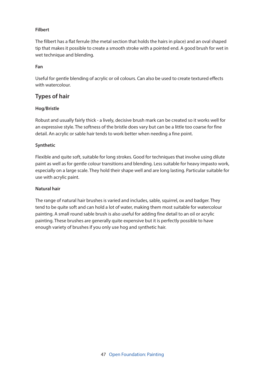#### **Filbert**

The filbert has a flat ferrule (the metal section that holds the hairs in place) and an oval shaped tip that makes it possible to create a smooth stroke with a pointed end. A good brush for wet in wet technique and blending.

#### **Fan**

Useful for gentle blending of acrylic or oil colours. Can also be used to create textured effects with watercolour.

## **Types of hair**

#### **Hog/Bristle**

Robust and usually fairly thick - a lively, decisive brush mark can be created so it works well for an expressive style. The softness of the bristle does vary but can be a little too coarse for fine detail. An acrylic or sable hair tends to work better when needing a fine point.

#### **Synthetic**

Flexible and quite soft, suitable for long strokes. Good for techniques that involve using dilute paint as well as for gentle colour transitions and blending. Less suitable for heavy impasto work, especially on a large scale. They hold their shape well and are long lasting. Particular suitable for use with acrylic paint.

#### **Natural hair**

The range of natural hair brushes is varied and includes, sable, squirrel, ox and badger. They tend to be quite soft and can hold a lot of water, making them most suitable for watercolour painting. A small round sable brush is also useful for adding fine detail to an oil or acrylic painting. These brushes are generally quite expensive but it is perfectly possible to have enough variety of brushes if you only use hog and synthetic hair.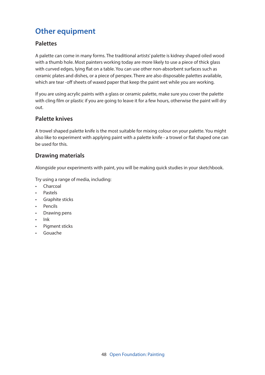# **Other equipment**

# **Palettes**

A palette can come in many forms. The traditional artists' palette is kidney shaped oiled wood with a thumb hole. Most painters working today are more likely to use a piece of thick glass with curved edges, lying flat on a table. You can use other non-absorbent surfaces such as ceramic plates and dishes, or a piece of perspex. There are also disposable palettes available, which are tear -off sheets of waxed paper that keep the paint wet while you are working.

If you are using acrylic paints with a glass or ceramic palette, make sure you cover the palette with cling film or plastic if you are going to leave it for a few hours, otherwise the paint will dry out.

## **Palette knives**

A trowel shaped palette knife is the most suitable for mixing colour on your palette. You might also like to experiment with applying paint with a palette knife - a trowel or flat shaped one can be used for this.

## **Drawing materials**

Alongside your experiments with paint, you will be making quick studies in your sketchbook.

Try using a range of media, including:

- Charcoal
- Pastels
- Graphite sticks
- **Pencils**
- Drawing pens
- Ink
- Pigment sticks
- Gouache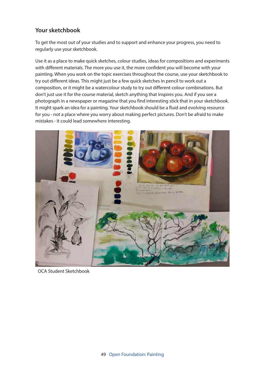# **Your sketchbook**

To get the most out of your studies and to support and enhance your progress, you need to regularly use your sketchbook.

Use it as a place to make quick sketches, colour studies, ideas for compositions and experiments with different materials. The more you use it, the more confident you will become with your painting. When you work on the topic exercises throughout the course, use your sketchbook to try out different ideas. This might just be a few quick sketches in pencil to work out a composition, or it might be a watercolour study to try out different colour combinations. But don't just use it for the course material, sketch anything that inspires you. And if you see a photograph in a newspaper or magazine that you find interesting stick that in your sketchbook. It might spark an idea for a painting. Your sketchbook should be a fluid and evolving resource for you - not a place where you worry about making perfect pictures. Don't be afraid to make mistakes - it could lead somewhere interesting.



OCA Student Sketchbook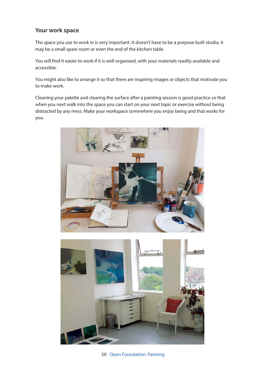# **Your work space**

The space you use to work in is very important. It doesn't have to be a purpose built studio, it may be a small spare room or even the end of the kitchen table.

You will find it easier to work if it is well organised, with your materials readily available and accessible.

You might also like to arrange it so that there are inspiring images or objects that motivate you to make work.

Cleaning your palette and clearing the surface after a painting session is good practice so that when you next walk into the space you can start on your next topic or exercise without being distracted by any mess. Make your workspace somewhere you enjoy being and that works for you.





50 Open Foundation: Painting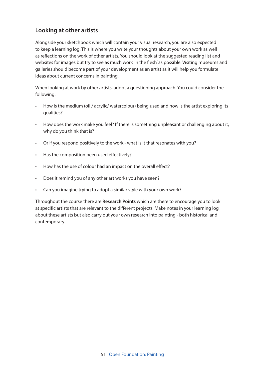# **Looking at other artists**

Alongside your sketchbook which will contain your visual research, you are also expected to keep a learning log. This is where you write your thoughts about your own work as well as reflections on the work of other artists. You should look at the suggested reading list and websites for images but try to see as much work 'in the flesh' as possible. Visiting museums and galleries should become part of your development as an artist as it will help you formulate ideas about current concerns in painting.

When looking at work by other artists, adopt a questioning approach. You could consider the following:

- How is the medium (oil / acrylic/ watercolour) being used and how is the artist exploring its qualities?
- How does the work make you feel? If there is something unpleasant or challenging about it, why do you think that is?
- Or if you respond positively to the work what is it that resonates with you?
- Has the composition been used effectively?
- How has the use of colour had an impact on the overall effect?
- Does it remind you of any other art works you have seen?
- Can you imagine trying to adopt a similar style with your own work?

Throughout the course there are **Research Points** which are there to encourage you to look at specific artists that are relevant to the different projects. Make notes in your learning log about these artists but also carry out your own research into painting - both historical and contemporary.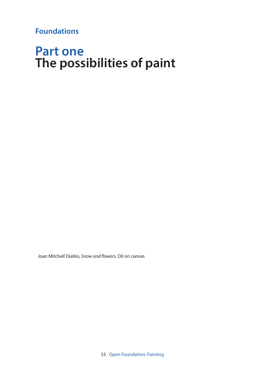**Foundations**

# **Part one The possibilities of paint**

Joan Mitchell Diablo, Snow and flowers, Oil on canvas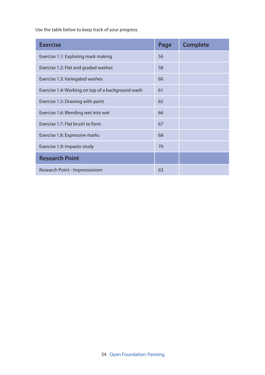Use the table below to keep track of your progress.

| <b>Exercise</b>                                   | Page | <b>Complete</b> |
|---------------------------------------------------|------|-----------------|
| Exercise 1.1: Exploring mark making               | 56   |                 |
| Exercise 1.2: Flat and graded washes              | 58   |                 |
| Exercise 1.3: Variegated washes                   | 60   |                 |
| Exercise 1.4: Working on top of a background wash | 61   |                 |
| Exercise 1.5: Drawing with paint                  | 65   |                 |
| Exercise 1.6: Blending wet into wet               | 66   |                 |
| Exercise 1.7: Flat brush to form                  | 67   |                 |
| Exercise 1.8: Expressive marks                    | 68   |                 |
| Exercise 1.9: Impasto study                       | 70   |                 |
| <b>Research Point</b>                             |      |                 |
| Research Point - Impressionism                    | 63   |                 |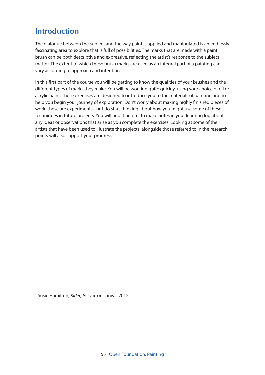# **Introduction**

The dialogue between the subject and the way paint is applied and manipulated is an endlessly fascinating area to explore that is full of possibilities. The marks that are made with a paint brush can be both descriptive and expressive, reflecting the artist's response to the subject matter. The extent to which these brush marks are used as an integral part of a painting can vary according to approach and intention.

In this first part of the course you will be getting to know the qualities of your brushes and the different types of marks they make. You will be working quite quickly, using your choice of oil or acrylic paint. These exercises are designed to introduce you to the materials of painting and to help you begin your journey of exploration. Don't worry about making highly finished pieces of work, these are experiments - but do start thinking about how you might use some of these techniques in future projects. You will find it helpful to make notes in your learning log about any ideas or observations that arise as you complete the exercises. Looking at some of the artists that have been used to illustrate the projects, alongside those referred to in the research points will also support your progress.

Susie Hamilton, Rider, Acrylic on canvas 2012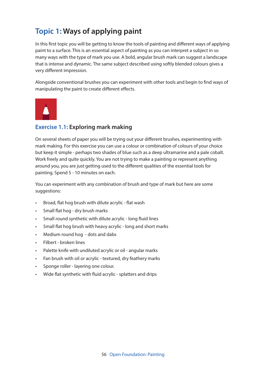# **Topic 1: Ways of applying paint**

In this first topic you will be getting to know the tools of painting and different ways of applying paint to a surface. This is an essential aspect of painting as you can interpret a subject in so many ways with the type of mark you use. A bold, angular brush mark can suggest a landscape that is intense and dynamic. The same subject described using softly blended colours gives a very different impression.

Alongside conventional brushes you can experiment with other tools and begin to find ways of manipulating the paint to create different effects.



# **Exercise 1.1: Exploring mark making**

On several sheets of paper you will be trying out your different brushes, experimenting with mark making. For this exercise you can use a colour or combination of colours of your choice but keep it simple - perhaps two shades of blue such as a deep ultramarine and a pale cobalt. Work freely and quite quickly. You are not trying to make a painting or represent anything around you, you are just getting used to the different qualities of the essential tools for painting. Spend 5 - 10 minutes on each.

You can experiment with any combination of brush and type of mark but here are some suggestions:

- Broad, flat hog brush with dilute acrylic flat wash
- Small flat hog dry brush marks
- Small round synthetic with dilute acrylic long fluid lines
- Small flat hog brush with heavy acrylic long and short marks
- Medium round hog dots and dabs
- Filbert broken lines
- Palette knife with undiluted acrylic or oil angular marks
- Fan brush with oil or acrylic textured, dry feathery marks
- Sponge roller layering one colour.
- Wide flat synthetic with fluid acrylic splatters and drips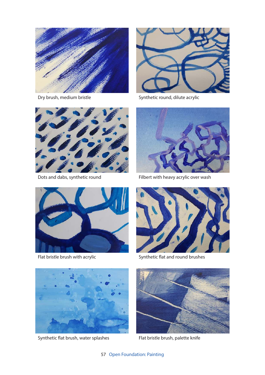



Dry brush, medium bristle **Synthetic round, dilute acrylic** 





Dots and dabs, synthetic round Filbert with heavy acrylic over wash





Flat bristle brush with acrylic **Synthetic flat and round brushes** 



Synthetic flat brush, water splashes Flat bristle brush, palette knife

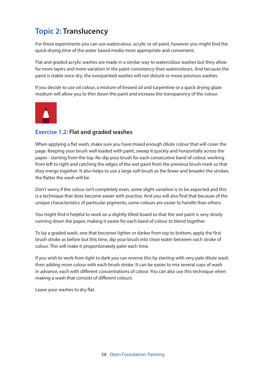# **Topic 2: Translucency**

For these experiments you can use watercolour, acrylic or oil paint, however you might find the quick drying time of the water based media more appropriate and convenient.

Flat and graded acrylic washes are made in a similar way to watercolour washes but they allow for more layers and more variation in the paint consistency than watercolours. And because the paint is stable once dry, the overpainted washes will not disturb or move previous washes.

If you decide to use oil colour, a mixture of linseed oil and turpentine or a quick drying glaze medium will allow you to thin down the paint and increase the transparency of the colour.



# **Exercise 1.2: Flat and graded washes**

When applying a flat wash, make sure you have mixed enough dilute colour that will cover the page. Keeping your brush well loaded with paint, sweep it quickly and horizontally across the paper - starting from the top. Re-dip your brush for each consecutive band of colour, working from left to right and catching the edges of the wet paint from the previous brush mark so that they merge together. It also helps to use a large soft brush as the fewer and broader the strokes, the flatter the wash will be.

Don't worry if the colour isn't completely even, some slight variation is to be expected and this is a technique that does become easier with practice. And you will also find that because of the unique characteristics of particular pigments, some colours are easier to handle than others.

You might find it helpful to work on a slightly tilted board so that the wet paint is very slowly running down the paper, making it easier for each band of colour to blend together.

To lay a graded wash, one that becomes lighter or darker from top to bottom, apply the first brush stroke as before but this time, dip your brush into clean water between each stroke of colour. This will make it proportionately paler each time.

If you wish to work from light to dark you can reverse this by starting with very pale dilute wash then adding more colour with each brush stroke. It can be easier to mix several cups of wash in advance, each with different concentrations of colour. You can also use this technique when making a wash that consists of different colours.

Leave your washes to dry flat.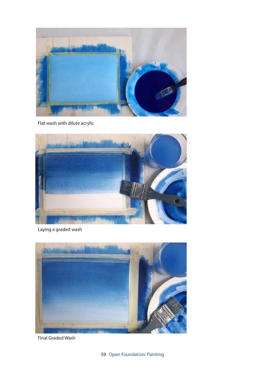

Flat wash with dilute acrylic



Laying a graded wash



Final Graded Wash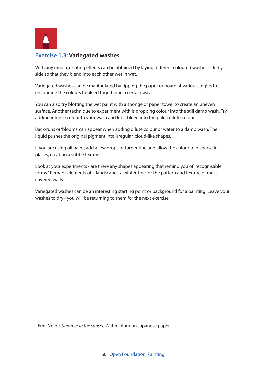

# **Exercise 1.3: Variegated washes**

With any media, exciting effects can be obtained by laying different coloured washes side by side so that they blend into each other wet in wet.

Variegated washes can be manipulated by tipping the paper or board at various angles to encourage the colours to bleed together in a certain way.

You can also try blotting the wet paint with a sponge or paper towel to create an uneven surface. Another technique to experiment with is dropping colour into the still damp wash. Try adding intense colour to your wash and let it bleed into the paler, dilute colour.

Back-runs or 'blooms' can appear when adding dilute colour or water to a damp wash. The liquid pushes the original pigment into irregular, cloud-like shapes.

If you are using oil paint, add a few drops of turpentine and allow the colour to disperse in places, creating a subtle texture.

Look at your experiments - are there any shapes appearing that remind you of recognisable forms? Perhaps elements of a landscape - a winter tree, or the pattern and texture of moss covered walls.

Variegated washes can be an interesting starting point or background for a painting. Leave your washes to dry - you will be returning to them for the next exercise.

Emil Nolde, Steamer in the sunset, Watercolour on Japanese paper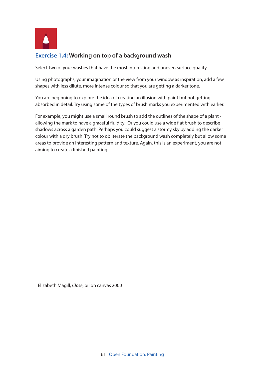

# **Exercise 1.4: Working on top of a background wash**

Select two of your washes that have the most interesting and uneven surface quality.

Using photographs, your imagination or the view from your window as inspiration, add a few shapes with less dilute, more intense colour so that you are getting a darker tone.

You are beginning to explore the idea of creating an illusion with paint but not getting absorbed in detail. Try using some of the types of brush marks you experimented with earlier.

For example, you might use a small round brush to add the outlines of the shape of a plant allowing the mark to have a graceful fluidity. Or you could use a wide flat brush to describe shadows across a garden path. Perhaps you could suggest a stormy sky by adding the darker colour with a dry brush. Try not to obliterate the background wash completely but allow some areas to provide an interesting pattern and texture. Again, this is an experiment, you are not aiming to create a finished painting.

Elizabeth Magill, Close, oil on canvas 2000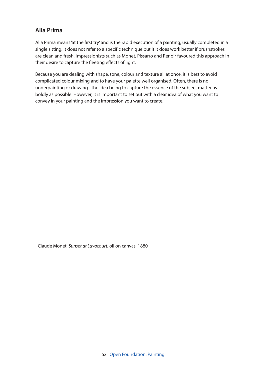# **Alla Prima**

Alla Prima means 'at the first try' and is the rapid execution of a painting, usually completed in a single sitting. It does not refer to a specific technique but it it does work better if brushstrokes are clean and fresh. Impressionists such as Monet, Pissarro and Renoir favoured this approach in their desire to capture the fleeting effects of light.

Because you are dealing with shape, tone, colour and texture all at once, it is best to avoid complicated colour mixing and to have your palette well organised. Often, there is no underpainting or drawing - the idea being to capture the essence of the subject matter as boldly as possible. However, it is important to set out with a clear idea of what you want to convey in your painting and the impression you want to create.

Claude Monet, Sunset at Lavacourt, oil on canvas 1880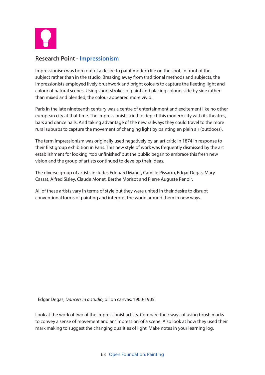

# **Research Point - Impressionism**

Impressionism was born out of a desire to paint modern life on the spot, in front of the subject rather than in the studio. Breaking away from traditional methods and subjects, the impressionists employed lively brushwork and bright colours to capture the fleeting light and colour of natural scenes. Using short strokes of paint and placing colours side by side rather than mixed and blended, the colour appeared more vivid.

Paris in the late nineteenth century was a centre of entertainment and excitement like no other european city at that time. The impressionists tried to depict this modern city with its theatres, bars and dance halls. And taking advantage of the new railways they could travel to the more rural suburbs to capture the movement of changing light by painting en plein air (outdoors).

The term Impressionism was originally used negatively by an art critic in 1874 in response to their first group exhibition in Paris. This new style of work was frequently dismissed by the art establishment for looking 'too unfinished' but the public began to embrace this fresh new vision and the group of artists continued to develop their ideas.

The diverse group of artists includes Edouard Manet, Camille Pissarro, Edgar Degas, Mary Cassat, Alfred Sisley, Claude Monet, Berthe Morisot and Pierre Auguste Renoir.

All of these artists vary in terms of style but they were united in their desire to disrupt conventional forms of painting and interpret the world around them in new ways.

Edgar Degas, Dancers in a studio, oil on canvas, 1900-1905

Look at the work of two of the Impressionist artists. Compare their ways of using brush marks to convey a sense of movement and an 'Impression' of a scene. Also look at how they used their mark making to suggest the changing qualities of light. Make notes in your learning log.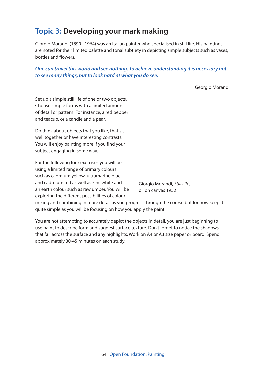# **Topic 3: Developing your mark making**

Giorgio Morandi (1890 - 1964) was an Italian painter who specialised in still life. His paintings are noted for their limited palette and tonal subtlety in depicting simple subjects such as vases, bottles and flowers.

#### **One can travel this world and see nothing. To achieve understanding it is necessary not to see many things, but to look hard at what you do see.**

Georgio Morandi

Set up a simple still life of one or two objects. Choose simple forms with a limited amount of detail or pattern. For instance, a red pepper and teacup, or a candle and a pear.

Do think about objects that you like, that sit well together or have interesting contrasts. You will enjoy painting more if you find your subject engaging in some way.

For the following four exercises you will be using a limited range of primary colours such as cadmium yellow, ultramarine blue and cadmium red as well as zinc white and an earth colour such as raw umber. You will be exploring the different possibilities of colour

Giorgio Morandi, Still Life, oil on canvas 1952

mixing and combining in more detail as you progress through the course but for now keep it quite simple as you will be focusing on how you apply the paint.

You are not attempting to accurately depict the objects in detail, you are just beginning to use paint to describe form and suggest surface texture. Don't forget to notice the shadows that fall across the surface and any highlights. Work on A4 or A3 size paper or board. Spend approximately 30-45 minutes on each study.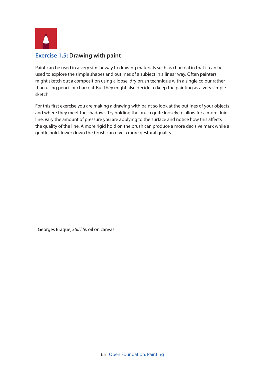

# **Exercise 1.5: Drawing with paint**

Paint can be used in a very similar way to drawing materials such as charcoal in that it can be used to explore the simple shapes and outlines of a subject in a linear way. Often painters might sketch out a composition using a loose, dry brush technique with a single colour rather than using pencil or charcoal. But they might also decide to keep the painting as a very simple sketch.

For this first exercise you are making a drawing with paint so look at the outlines of your objects and where they meet the shadows. Try holding the brush quite loosely to allow for a more fluid line. Vary the amount of pressure you are applying to the surface and notice how this affects the quality of the line. A more rigid hold on the brush can produce a more decisive mark while a gentle hold, lower down the brush can give a more gestural quality.

Georges Braque, Still life, oil on canvas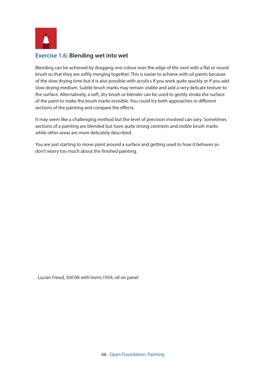

## **Exercise 1.6: Blending wet into wet**

Blending can be achieved by dragging one colour over the edge of the next with a flat or round brush so that they are softly merging together. This is easier to achieve with oil paints because of the slow drying time but it is also possible with acrylics if you work quite quickly or if you add slow drying medium. Subtle brush marks may remain visible and add a very delicate texture to the surface. Alternatively, a soft, dry brush or blender can be used to gently stroke the surface of the paint to make the brush marks invisible. You could try both approaches in different sections of the painting and compare the effects.

It may seem like a challenging method but the level of precision involved can vary. Sometimes sections of a painting are blended but have quite strong contrasts and visible brush marks while other areas are more delicately described.

You are just starting to move paint around a surface and getting used to how it behaves so don't worry too much about the finished painting.

Lucian Freud, Still life with horns,1954, oil on panel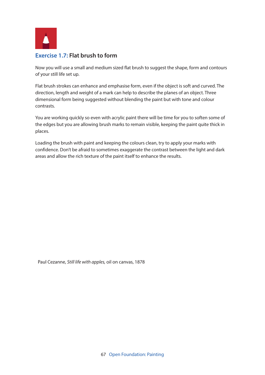

# **Exercise 1.7: Flat brush to form**

Now you will use a small and medium sized flat brush to suggest the shape, form and contours of your still life set up.

Flat brush strokes can enhance and emphasise form, even if the object is soft and curved. The direction, length and weight of a mark can help to describe the planes of an object. Three dimensional form being suggested without blending the paint but with tone and colour contrasts.

You are working quickly so even with acrylic paint there will be time for you to soften some of the edges but you are allowing brush marks to remain visible, keeping the paint quite thick in places.

Loading the brush with paint and keeping the colours clean, try to apply your marks with confidence. Don't be afraid to sometimes exaggerate the contrast between the light and dark areas and allow the rich texture of the paint itself to enhance the results.

Paul Cezanne, Still life with apples, oil on canvas, 1878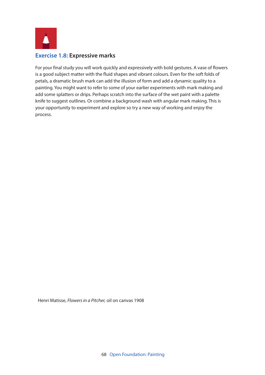

# **Exercise 1.8: Expressive marks**

For your final study you will work quickly and expressively with bold gestures. A vase of flowers is a good subject matter with the fluid shapes and vibrant colours. Even for the soft folds of petals, a dramatic brush mark can add the illusion of form and add a dynamic quality to a painting. You might want to refer to some of your earlier experiments with mark making and add some splatters or drips. Perhaps scratch into the surface of the wet paint with a palette knife to suggest outlines. Or combine a background wash with angular mark making. This is your opportunity to experiment and explore so try a new way of working and enjoy the process.

Henri Matisse, Flowers in a Pitcher, oil on canvas 1908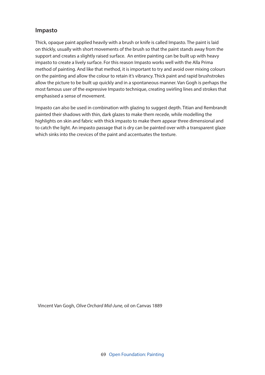## **Impasto**

Thick, opaque paint applied heavily with a brush or knife is called Impasto. The paint is laid on thickly, usually with short movements of the brush so that the paint stands away from the support and creates a slightly raised surface. An entire painting can be built up with heavy impasto to create a lively surface. For this reason Impasto works well with the Alla Prima method of painting. And like that method, it is important to try and avoid over mixing colours on the painting and allow the colour to retain it's vibrancy. Thick paint and rapid brushstrokes allow the picture to be built up quickly and in a spontaneous manner. Van Gogh is perhaps the most famous user of the expressive Impasto technique, creating swirling lines and strokes that emphasised a sense of movement.

Impasto can also be used in combination with glazing to suggest depth. Titian and Rembrandt painted their shadows with thin, dark glazes to make them recede, while modelling the highlights on skin and fabric with thick impasto to make them appear three dimensional and to catch the light. An impasto passage that is dry can be painted over with a transparent glaze which sinks into the crevices of the paint and accentuates the texture.

Vincent Van Gogh, Olive Orchard Mid-June, oil on Canvas 1889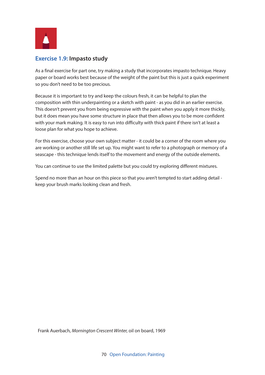

# **Exercise 1.9: Impasto study**

As a final exercise for part one, try making a study that incorporates impasto technique. Heavy paper or board works best because of the weight of the paint but this is just a quick experiment so you don't need to be too precious.

Because it is important to try and keep the colours fresh, it can be helpful to plan the composition with thin underpainting or a sketch with paint - as you did in an earlier exercise. This doesn't prevent you from being expressive with the paint when you apply it more thickly, but it does mean you have some structure in place that then allows you to be more confident with your mark making. It is easy to run into difficulty with thick paint if there isn't at least a loose plan for what you hope to achieve.

For this exercise, choose your own subject matter - it could be a corner of the room where you are working or another still life set up. You might want to refer to a photograph or memory of a seascape - this technique lends itself to the movement and energy of the outside elements.

You can continue to use the limited palette but you could try exploring different mixtures.

Spend no more than an hour on this piece so that you aren't tempted to start adding detail keep your brush marks looking clean and fresh.

Frank Auerbach, Mornington Crescent Winter, oil on board, 1969